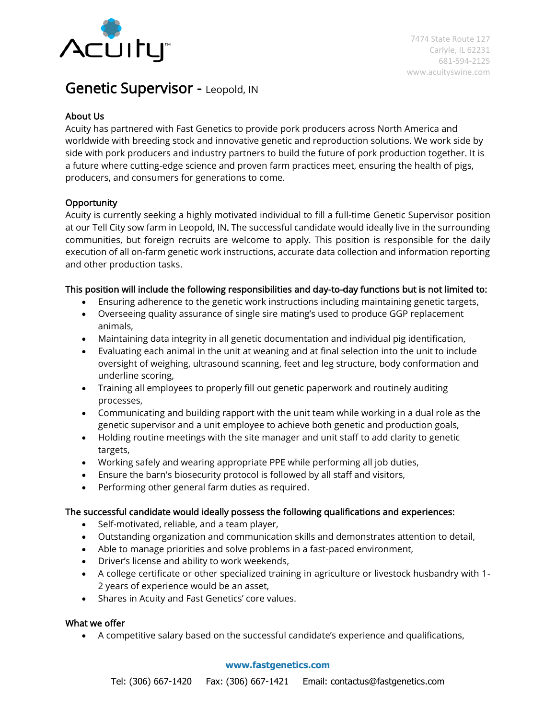

# Genetic Supervisor - Leopold, IN

## About Us

Acuity has partnered with Fast Genetics to provide pork producers across North America and worldwide with breeding stock and innovative genetic and reproduction solutions. We work side by side with pork producers and industry partners to build the future of pork production together. It is a future where cutting-edge science and proven farm practices meet, ensuring the health of pigs, producers, and consumers for generations to come.

## **Opportunity**

Acuity is currently seeking a highly motivated individual to fill a full-time Genetic Supervisor position at our Tell City sow farm in Leopold, IN. The successful candidate would ideally live in the surrounding communities, but foreign recruits are welcome to apply. This position is responsible for the daily execution of all on-farm genetic work instructions, accurate data collection and information reporting and other production tasks.

### This position will include the following responsibilities and day-to-day functions but is not limited to:

- Ensuring adherence to the genetic work instructions including maintaining genetic targets,
- Overseeing quality assurance of single sire mating's used to produce GGP replacement animals,
- Maintaining data integrity in all genetic documentation and individual pig identification,
- Evaluating each animal in the unit at weaning and at final selection into the unit to include oversight of weighing, ultrasound scanning, feet and leg structure, body conformation and underline scoring,
- Training all employees to properly fill out genetic paperwork and routinely auditing processes,
- Communicating and building rapport with the unit team while working in a dual role as the genetic supervisor and a unit employee to achieve both genetic and production goals,
- Holding routine meetings with the site manager and unit staff to add clarity to genetic targets,
- Working safely and wearing appropriate PPE while performing all job duties,
- Ensure the barn's biosecurity protocol is followed by all staff and visitors,
- Performing other general farm duties as required.

#### The successful candidate would ideally possess the following qualifications and experiences:

- Self-motivated, reliable, and a team player,
- Outstanding organization and communication skills and demonstrates attention to detail,
- Able to manage priorities and solve problems in a fast-paced environment,
- Driver's license and ability to work weekends,
- A college certificate or other specialized training in agriculture or livestock husbandry with 1- 2 years of experience would be an asset,
- Shares in Acuity and Fast Genetics' core values.

#### What we offer

• A competitive salary based on the successful candidate's experience and qualifications,

#### **www.fastgenetics.com**